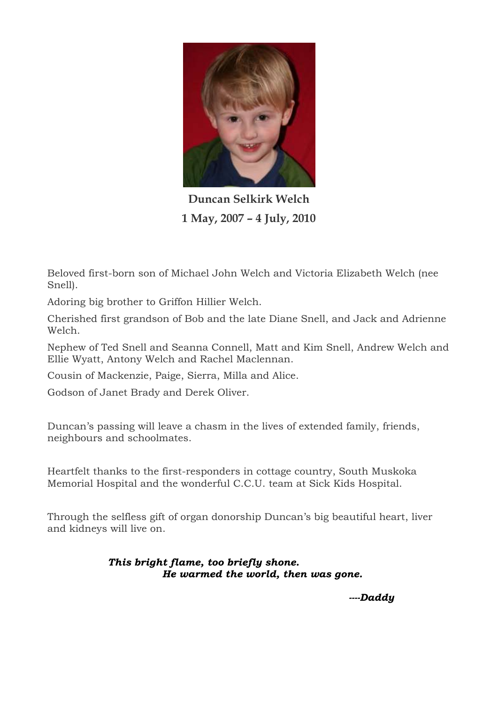

**Duncan Selkirk Welch 1 May, 2007 – 4 July, 2010**

Beloved first-born son of Michael John Welch and Victoria Elizabeth Welch (nee Snell).

Adoring big brother to Griffon Hillier Welch.

Cherished first grandson of Bob and the late Diane Snell, and Jack and Adrienne Welch.

Nephew of Ted Snell and Seanna Connell, Matt and Kim Snell, Andrew Welch and Ellie Wyatt, Antony Welch and Rachel Maclennan.

Cousin of Mackenzie, Paige, Sierra, Milla and Alice.

Godson of Janet Brady and Derek Oliver.

Duncan's passing will leave a chasm in the lives of extended family, friends, neighbours and schoolmates.

Heartfelt thanks to the first-responders in cottage country, South Muskoka Memorial Hospital and the wonderful C.C.U. team at Sick Kids Hospital.

Through the selfless gift of organ donorship Duncan's big beautiful heart, liver and kidneys will live on.

> *This bright flame, too briefly shone. He warmed the world, then was gone.*

> > *----Daddy*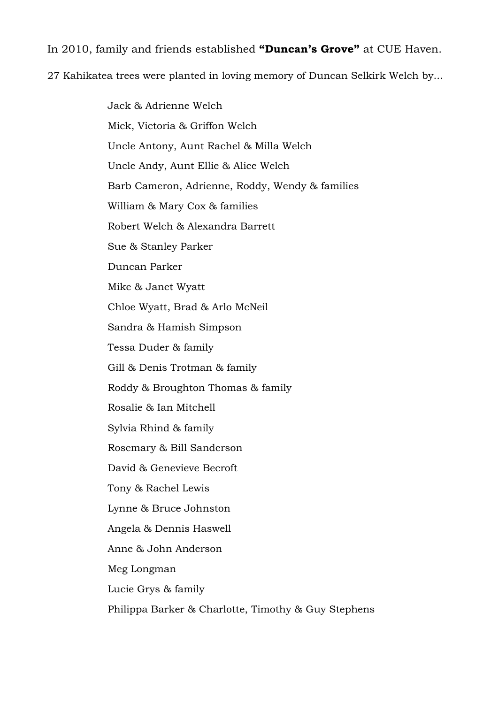## In 2010, family and friends established **"Duncan's Grove"** at CUE Haven.

## 27 Kahikatea trees were planted in loving memory of Duncan Selkirk Welch by...

Jack & Adrienne Welch Mick, Victoria & Griffon Welch Uncle Antony, Aunt Rachel & Milla Welch Uncle Andy, Aunt Ellie & Alice Welch Barb Cameron, Adrienne, Roddy, Wendy & families William & Mary Cox & families Robert Welch & Alexandra Barrett Sue & Stanley Parker Duncan Parker Mike & Janet Wyatt Chloe Wyatt, Brad & Arlo McNeil Sandra & Hamish Simpson Tessa Duder & family Gill & Denis Trotman & family Roddy & Broughton Thomas & family Rosalie & Ian Mitchell Sylvia Rhind & family Rosemary & Bill Sanderson David & Genevieve Becroft Tony & Rachel Lewis Lynne & Bruce Johnston Angela & Dennis Haswell Anne & John Anderson Meg Longman Lucie Grys & family Philippa Barker & Charlotte, Timothy & Guy Stephens